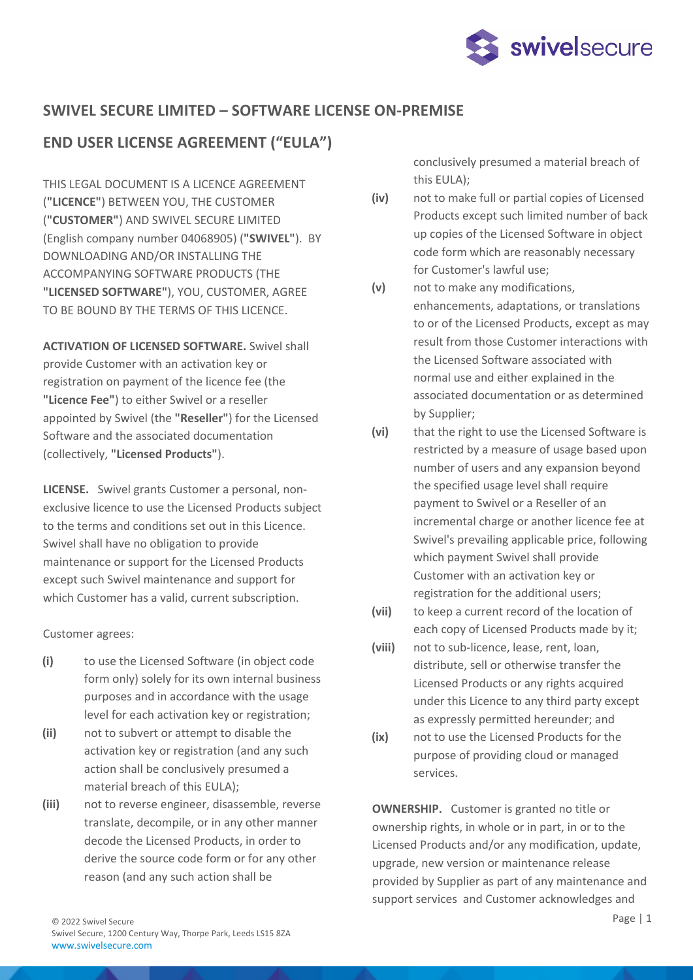

## **SWIVEL SECURE LIMITED – SOFTWARE LICENSE ON-PREMISE**

# **END USER LICENSE AGREEMENT ("EULA")**

THIS LEGAL DOCUMENT IS A LICENCE AGREEMENT (**"LICENCE"**) BETWEEN YOU, THE CUSTOMER (**"CUSTOMER"**) AND SWIVEL SECURE LIMITED (English company number 04068905) (**"SWIVEL"**). BY DOWNLOADING AND/OR INSTALLING THE ACCOMPANYING SOFTWARE PRODUCTS (THE **"LICENSED SOFTWARE"**), YOU, CUSTOMER, AGREE TO BE BOUND BY THE TERMS OF THIS LICENCE.

**ACTIVATION OF LICENSED SOFTWARE.** Swivel shall provide Customer with an activation key or registration on payment of the licence fee (the **"Licence Fee"**) to either Swivel or a reseller appointed by Swivel (the **"Reseller"**) for the Licensed Software and the associated documentation (collectively, **"Licensed Products"**).

**LICENSE.** Swivel grants Customer a personal, nonexclusive licence to use the Licensed Products subject to the terms and conditions set out in this Licence. Swivel shall have no obligation to provide maintenance or support for the Licensed Products except such Swivel maintenance and support for which Customer has a valid, current subscription.

Customer agrees:

- **(i)** to use the Licensed Software (in object code form only) solely for its own internal business purposes and in accordance with the usage level for each activation key or registration;
- **(ii)** not to subvert or attempt to disable the activation key or registration (and any such action shall be conclusively presumed a material breach of this EULA);
- **(iii)** not to reverse engineer, disassemble, reverse translate, decompile, or in any other manner decode the Licensed Products, in order to derive the source code form or for any other reason (and any such action shall be

conclusively presumed a material breach of this EULA);

- **(iv)** not to make full or partial copies of Licensed Products except such limited number of back up copies of the Licensed Software in object code form which are reasonably necessary for Customer's lawful use;
- **(v)** not to make any modifications, enhancements, adaptations, or translations to or of the Licensed Products, except as may result from those Customer interactions with the Licensed Software associated with normal use and either explained in the associated documentation or as determined by Supplier;
- **(vi)** that the right to use the Licensed Software is restricted by a measure of usage based upon number of users and any expansion beyond the specified usage level shall require payment to Swivel or a Reseller of an incremental charge or another licence fee at Swivel's prevailing applicable price, following which payment Swivel shall provide Customer with an activation key or registration for the additional users;
- **(vii)** to keep a current record of the location of each copy of Licensed Products made by it;
- **(viii)** not to sub-licence, lease, rent, loan, distribute, sell or otherwise transfer the Licensed Products or any rights acquired under this Licence to any third party except as expressly permitted hereunder; and
- **(ix)** not to use the Licensed Products for the purpose of providing cloud or managed services.

**OWNERSHIP.** Customer is granted no title or ownership rights, in whole or in part, in or to the Licensed Products and/or any modification, update, upgrade, new version or maintenance release provided by Supplier as part of any maintenance and support services and Customer acknowledges and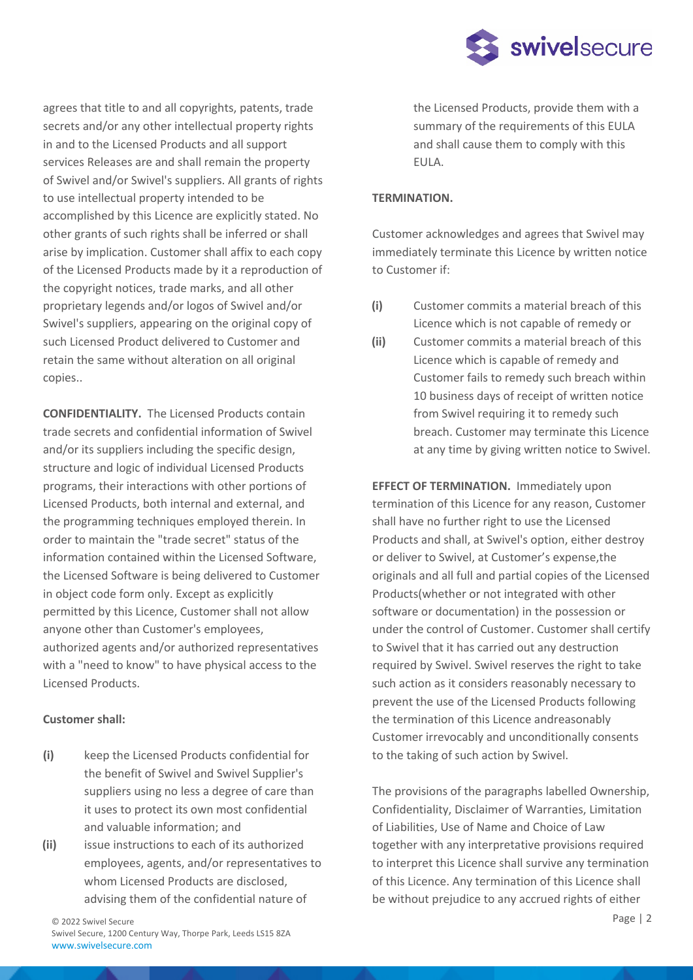

agrees that title to and all copyrights, patents, trade secrets and/or any other intellectual property rights in and to the Licensed Products and all support services Releases are and shall remain the property of Swivel and/or Swivel's suppliers. All grants of rights to use intellectual property intended to be accomplished by this Licence are explicitly stated. No other grants of such rights shall be inferred or shall arise by implication. Customer shall affix to each copy of the Licensed Products made by it a reproduction of the copyright notices, trade marks, and all other proprietary legends and/or logos of Swivel and/or Swivel's suppliers, appearing on the original copy of such Licensed Product delivered to Customer and retain the same without alteration on all original copies..

**CONFIDENTIALITY.** The Licensed Products contain trade secrets and confidential information of Swivel and/or its suppliers including the specific design, structure and logic of individual Licensed Products programs, their interactions with other portions of Licensed Products, both internal and external, and the programming techniques employed therein. In order to maintain the "trade secret" status of the information contained within the Licensed Software, the Licensed Software is being delivered to Customer in object code form only. Except as explicitly permitted by this Licence, Customer shall not allow anyone other than Customer's employees, authorized agents and/or authorized representatives with a "need to know" to have physical access to the Licensed Products.

#### **Customer shall:**

- **(i)** keep the Licensed Products confidential for the benefit of Swivel and Swivel Supplier's suppliers using no less a degree of care than it uses to protect its own most confidential and valuable information; and
- **(ii)** issue instructions to each of its authorized employees, agents, and/or representatives to whom Licensed Products are disclosed, advising them of the confidential nature of

the Licensed Products, provide them with a summary of the requirements of this EULA and shall cause them to comply with this EULA.

### **TERMINATION.**

Customer acknowledges and agrees that Swivel may immediately terminate this Licence by written notice to Customer if:

- **(i)** Customer commits a material breach of this Licence which is not capable of remedy or
- **(ii)** Customer commits a material breach of this Licence which is capable of remedy and Customer fails to remedy such breach within 10 business days of receipt of written notice from Swivel requiring it to remedy such breach. Customer may terminate this Licence at any time by giving written notice to Swivel.

**EFFECT OF TERMINATION.** Immediately upon termination of this Licence for any reason, Customer shall have no further right to use the Licensed Products and shall, at Swivel's option, either destroy or deliver to Swivel, at Customer's expense,the originals and all full and partial copies of the Licensed Products(whether or not integrated with other software or documentation) in the possession or under the control of Customer. Customer shall certify to Swivel that it has carried out any destruction required by Swivel. Swivel reserves the right to take such action as it considers reasonably necessary to prevent the use of the Licensed Products following the termination of this Licence andreasonably Customer irrevocably and unconditionally consents to the taking of such action by Swivel.

The provisions of the paragraphs labelled Ownership, Confidentiality, Disclaimer of Warranties, Limitation of Liabilities, Use of Name and Choice of Law together with any interpretative provisions required to interpret this Licence shall survive any termination of this Licence. Any termination of this Licence shall be without prejudice to any accrued rights of either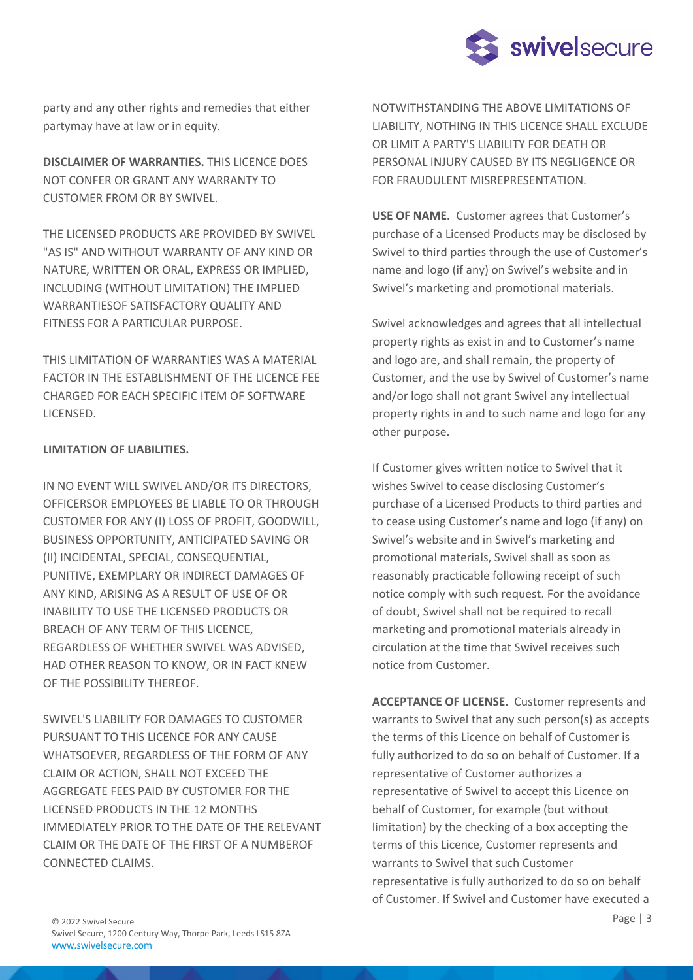

party and any other rights and remedies that either partymay have at law or in equity.

**DISCLAIMER OF WARRANTIES.** THIS LICENCE DOES NOT CONFER OR GRANT ANY WARRANTY TO CUSTOMER FROM OR BY SWIVEL.

THE LICENSED PRODUCTS ARE PROVIDED BY SWIVEL "AS IS" AND WITHOUT WARRANTY OF ANY KIND OR NATURE, WRITTEN OR ORAL, EXPRESS OR IMPLIED, INCLUDING (WITHOUT LIMITATION) THE IMPLIED WARRANTIESOF SATISFACTORY QUALITY AND FITNESS FOR A PARTICULAR PURPOSE.

THIS LIMITATION OF WARRANTIES WAS A MATERIAL FACTOR IN THE ESTABLISHMENT OF THE LICENCE FEE CHARGED FOR EACH SPECIFIC ITEM OF SOFTWARE LICENSED.

#### **LIMITATION OF LIABILITIES.**

IN NO EVENT WILL SWIVEL AND/OR ITS DIRECTORS, OFFICERSOR EMPLOYEES BE LIABLE TO OR THROUGH CUSTOMER FOR ANY (I) LOSS OF PROFIT, GOODWILL, BUSINESS OPPORTUNITY, ANTICIPATED SAVING OR (II) INCIDENTAL, SPECIAL, CONSEQUENTIAL, PUNITIVE, EXEMPLARY OR INDIRECT DAMAGES OF ANY KIND, ARISING AS A RESULT OF USE OF OR INABILITY TO USE THE LICENSED PRODUCTS OR BREACH OF ANY TERM OF THIS LICENCE, REGARDLESS OF WHETHER SWIVEL WAS ADVISED, HAD OTHER REASON TO KNOW, OR IN FACT KNEW OF THE POSSIBILITY THEREOF.

SWIVEL'S LIABILITY FOR DAMAGES TO CUSTOMER PURSUANT TO THIS LICENCE FOR ANY CAUSE WHATSOEVER, REGARDLESS OF THE FORM OF ANY CLAIM OR ACTION, SHALL NOT EXCEED THE AGGREGATE FEES PAID BY CUSTOMER FOR THE LICENSED PRODUCTS IN THE 12 MONTHS IMMEDIATELY PRIOR TO THE DATE OF THE RELEVANT CLAIM OR THE DATE OF THE FIRST OF A NUMBEROF CONNECTED CLAIMS.

NOTWITHSTANDING THE ABOVE LIMITATIONS OF LIABILITY, NOTHING IN THIS LICENCE SHALL EXCLUDE OR LIMIT A PARTY'S LIABILITY FOR DEATH OR PERSONAL INJURY CAUSED BY ITS NEGLIGENCE OR FOR FRAUDULENT MISREPRESENTATION.

**USE OF NAME.** Customer agrees that Customer's purchase of a Licensed Products may be disclosed by Swivel to third parties through the use of Customer's name and logo (if any) on Swivel's website and in Swivel's marketing and promotional materials.

Swivel acknowledges and agrees that all intellectual property rights as exist in and to Customer's name and logo are, and shall remain, the property of Customer, and the use by Swivel of Customer's name and/or logo shall not grant Swivel any intellectual property rights in and to such name and logo for any other purpose.

If Customer gives written notice to Swivel that it wishes Swivel to cease disclosing Customer's purchase of a Licensed Products to third parties and to cease using Customer's name and logo (if any) on Swivel's website and in Swivel's marketing and promotional materials, Swivel shall as soon as reasonably practicable following receipt of such notice comply with such request. For the avoidance of doubt, Swivel shall not be required to recall marketing and promotional materials already in circulation at the time that Swivel receives such notice from Customer.

**ACCEPTANCE OF LICENSE.** Customer represents and warrants to Swivel that any such person(s) as accepts the terms of this Licence on behalf of Customer is fully authorized to do so on behalf of Customer. If a representative of Customer authorizes a representative of Swivel to accept this Licence on behalf of Customer, for example (but without limitation) by the checking of a box accepting the terms of this Licence, Customer represents and warrants to Swivel that such Customer representative is fully authorized to do so on behalf of Customer. If Swivel and Customer have executed a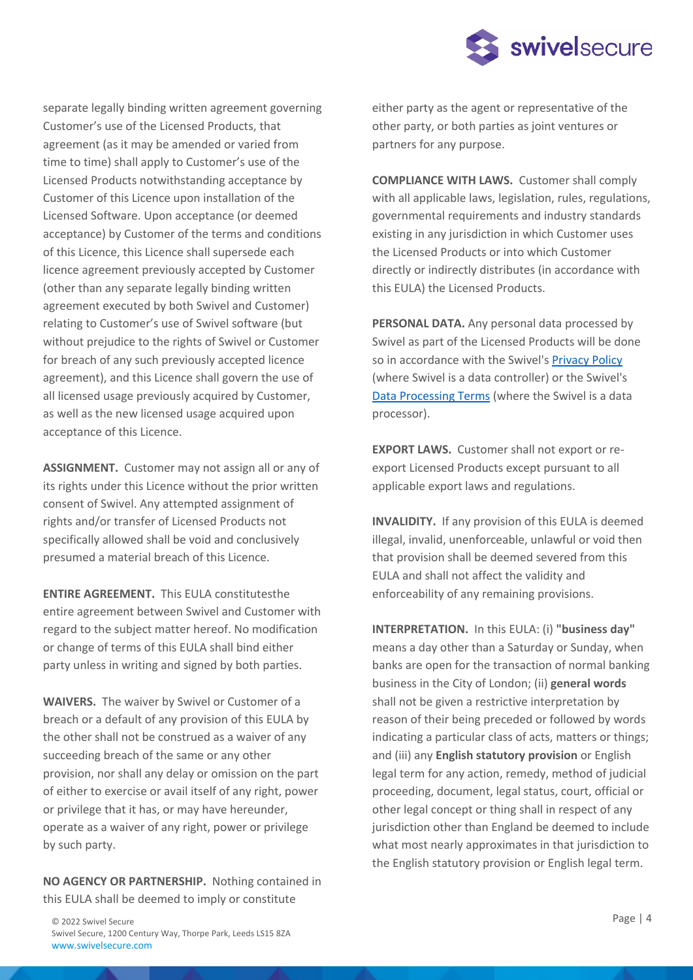

separate legally binding written agreement governing Customer's use of the Licensed Products, that agreement (as it may be amended or varied from time to time) shall apply to Customer's use of the Licensed Products notwithstanding acceptance by Customer of this Licence upon installation of the Licensed Software. Upon acceptance (or deemed acceptance) by Customer of the terms and conditions of this Licence, this Licence shall supersede each licence agreement previously accepted by Customer (other than any separate legally binding written agreement executed by both Swivel and Customer) relating to Customer's use of Swivel software (but without prejudice to the rights of Swivel or Customer for breach of any such previously accepted licence agreement), and this Licence shall govern the use of all licensed usage previously acquired by Customer, as well as the new licensed usage acquired upon acceptance of this Licence.

**ASSIGNMENT.** Customer may not assign all or any of its rights under this Licence without the prior written consent of Swivel. Any attempted assignment of rights and/or transfer of Licensed Products not specifically allowed shall be void and conclusively presumed a material breach of this Licence.

**ENTIRE AGREEMENT.** This EULA constitutesthe entire agreement between Swivel and Customer with regard to the subject matter hereof. No modification or change of terms of this EULA shall bind either party unless in writing and signed by both parties.

**WAIVERS.** The waiver by Swivel or Customer of a breach or a default of any provision of this EULA by the other shall not be construed as a waiver of any succeeding breach of the same or any other provision, nor shall any delay or omission on the part of either to exercise or avail itself of any right, power or privilege that it has, or may have hereunder, operate as a waiver of any right, power or privilege by such party.

**NO AGENCY OR PARTNERSHIP.** Nothing contained in this EULA shall be deemed to imply or constitute

either party as the agent or representative of the other party, or both parties as joint ventures or partners for any purpose.

**COMPLIANCE WITH LAWS.** Customer shall comply with all applicable laws, legislation, rules, regulations, governmental requirements and industry standards existing in any jurisdiction in which Customer uses the Licensed Products or into which Customer directly or indirectly distributes (in accordance with this EULA) the Licensed Products.

**PERSONAL DATA.** Any personal data processed by Swivel as part of the Licensed Products will be done so in accordance with the Swivel's Privacy Policy (where Swivel is a data controller) or the Swivel's Data Processing Terms (where the Swivel is a data processor).

**EXPORT LAWS.** Customer shall not export or reexport Licensed Products except pursuant to all applicable export laws and regulations.

**INVALIDITY.** If any provision of this EULA is deemed illegal, invalid, unenforceable, unlawful or void then that provision shall be deemed severed from this EULA and shall not affect the validity and enforceability of any remaining provisions.

**INTERPRETATION.** In this EULA: (i) **"business day"** means a day other than a Saturday or Sunday, when banks are open for the transaction of normal banking business in the City of London; (ii) **general words** shall not be given a restrictive interpretation by reason of their being preceded or followed by words indicating a particular class of acts, matters or things; and (iii) any **English statutory provision** or English legal term for any action, remedy, method of judicial proceeding, document, legal status, court, official or other legal concept or thing shall in respect of any jurisdiction other than England be deemed to include what most nearly approximates in that jurisdiction to the English statutory provision or English legal term.